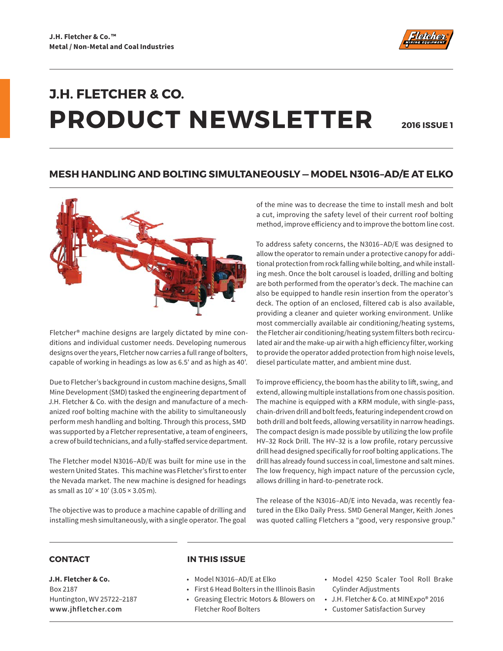

# **J.H. FLETCHER & CO. PRODUCT NEWSLETTER**

**2016 ISSUE 1**

### **MESH HANDLING AND BOLTING SIMULTANEOUSLY — MODEL N3016–AD/E AT ELKO**



Fletcher® machine designs are largely dictated by mine conditions and individual customer needs. Developing numerous designs over the years, Fletcher now carries a full range of bolters, capable of working in headings as low as 6.5′ and as high as 40′.

Due to Fletcher's background in custom machine designs, Small Mine Development (SMD) tasked the engineering department of J.H. Fletcher & Co. with the design and manufacture of a mechanized roof bolting machine with the ability to simultaneously perform mesh handling and bolting. Through this process, SMD was supported by a Fletcher representative, a team of engineers, a crew of build technicians, and a fully-staffed service department.

The Fletcher model N3016–AD/E was built for mine use in the western United States. This machine was Fletcher's first to enter the Nevada market. The new machine is designed for headings as small as 10′ × 10′ (3.05 × 3.05 m).

The objective was to produce a machine capable of drilling and installing mesh simultaneously, with a single operator. The goal of the mine was to decrease the time to install mesh and bolt a cut, improving the safety level of their current roof bolting method, improve efficiency and to improve the bottom line cost.

To address safety concerns, the N3016–AD/E was designed to allow the operator to remain under a protective canopy for additional protection from rock falling while bolting, and while installing mesh. Once the bolt carousel is loaded, drilling and bolting are both performed from the operator's deck. The machine can also be equipped to handle resin insertion from the operator's deck. The option of an enclosed, filtered cab is also available, providing a cleaner and quieter working environment. Unlike most commercially available air conditioning/heating systems, the Fletcher air conditioning/heating system filters both recirculated air and the make-up air with a high efficiency filter, working to provide the operator added protection from high noise levels, diesel particulate matter, and ambient mine dust.

To improve efficiency, the boom has the ability to lift, swing, and extend, allowing multiple installations from one chassis position. The machine is equipped with a KRM module, with single-pass, chain-driven drill and bolt feeds, featuring independent crowd on both drill and bolt feeds, allowing versatility in narrow headings. The compact design is made possible by utilizing the low profile HV–32 Rock Drill. The HV–32 is a low profile, rotary percussive drill head designed specifically for roof bolting applications. The drill has already found success in coal, limestone and salt mines. The low frequency, high impact nature of the percussion cycle, allows drilling in hard-to-penetrate rock.

The release of the N3016–AD/E into Nevada, was recently featured in the Elko Daily Press. SMD General Manger, Keith Jones was quoted calling Fletchers a "good, very responsive group."

**J.H. Fletcher & Co.** Box 2187 Huntington, WV 25722–2187 **www.jhfletcher.com**

#### **CONTACT IN THIS ISSUE**

- Model N3016–AD/E at Elko
- First 6 Head Bolters in the Illinois Basin
- Greasing Electric Motors & Blowers on Fletcher Roof Bolters
- Model 4250 Scaler Tool Roll Brake Cylinder Adjustments
- J.H. Fletcher & Co. at MINExpo® 2016
- Customer Satisfaction Survey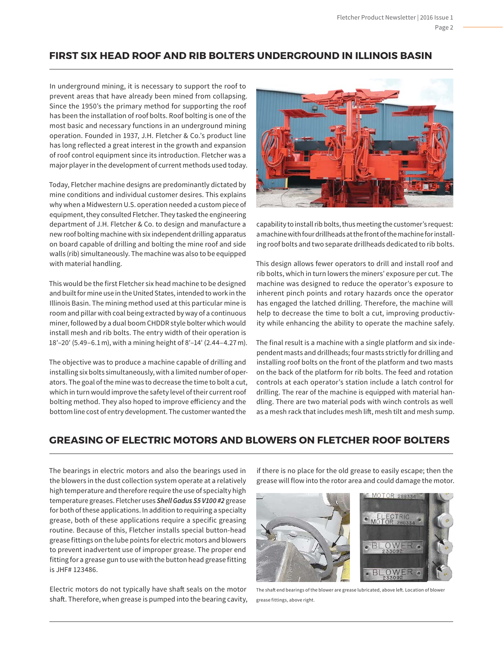# **FIRST SIX HEAD ROOF AND RIB BOLTERS UNDERGROUND IN ILLINOIS BASIN**

In underground mining, it is necessary to support the roof to prevent areas that have already been mined from collapsing. Since the 1950's the primary method for supporting the roof has been the installation of roof bolts. Roof bolting is one of the most basic and necessary functions in an underground mining operation. Founded in 1937, J.H. Fletcher & Co.'s product line has long reflected a great interest in the growth and expansion of roof control equipment since its introduction. Fletcher was a major player in the development of current methods used today.

Today, Fletcher machine designs are predominantly dictated by mine conditions and individual customer desires. This explains why when a Midwestern U.S. operation needed a custom piece of equipment, they consulted Fletcher. They tasked the engineering department of J.H. Fletcher & Co. to design and manufacture a new roof bolting machine with six independent drilling apparatus on board capable of drilling and bolting the mine roof and side walls (rib) simultaneously. The machine was also to be equipped with material handling.

This would be the first Fletcher six head machine to be designed and built for mine use in the United States, intended to work in the Illinois Basin. The mining method used at this particular mine is room and pillar with coal being extracted by way of a continuous miner, followed by a dual boom CHDDR style bolter which would install mesh and rib bolts. The entry width of their operation is 18′–20′ (5.49–6.1 m), with a mining height of 8′–14′ (2.44–4.27 m).

The objective was to produce a machine capable of drilling and installing six bolts simultaneously, with a limited number of operators. The goal of the mine was to decrease the time to bolt a cut, which in turn would improve the safety level of their current roof bolting method. They also hoped to improve efficiency and the bottom line cost of entry development. The customer wanted the



capability to install rib bolts, thus meeting the customer's request: a machine with four drillheads at the front of the machine for installing roof bolts and two separate drillheads dedicated to rib bolts.

This design allows fewer operators to drill and install roof and rib bolts, which in turn lowers the miners' exposure per cut. The machine was designed to reduce the operator's exposure to inherent pinch points and rotary hazards once the operator has engaged the latched drilling. Therefore, the machine will help to decrease the time to bolt a cut, improving productivity while enhancing the ability to operate the machine safely.

The final result is a machine with a single platform and six independent masts and drillheads; four masts strictly for drilling and installing roof bolts on the front of the platform and two masts on the back of the platform for rib bolts. The feed and rotation controls at each operator's station include a latch control for drilling. The rear of the machine is equipped with material handling. There are two material pods with winch controls as well as a mesh rack that includes mesh lift, mesh tilt and mesh sump.

# **GREASING OF ELECTRIC MOTORS AND BLOWERS ON FLETCHER ROOF BOLTERS**

The bearings in electric motors and also the bearings used in the blowers in the dust collection system operate at a relatively high temperature and therefore require the use of specialty high temperature greases. Fletcher uses *Shell Gadus S5 V100 #2* grease for both of these applications. In addition to requiring a specialty grease, both of these applications require a specific greasing routine. Because of this, Fletcher installs special button-head grease fittings on the lube points for electric motors and blowers to prevent inadvertent use of improper grease. The proper end fitting for a grease gun to use with the button head grease fitting is JHF# 123486.

Electric motors do not typically have shaft seals on the motor shaft. Therefore, when grease is pumped into the bearing cavity, if there is no place for the old grease to easily escape; then the grease will flow into the rotor area and could damage the motor.



The shaft end bearings of the blower are grease lubricated, above left. Location of blower grease fittings, above right.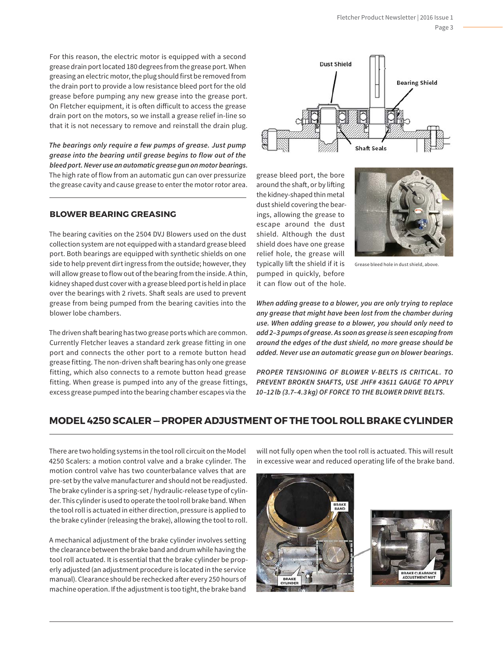For this reason, the electric motor is equipped with a second grease drain port located 180 degrees from the grease port. When greasing an electric motor, the plug should first be removed from the drain port to provide a low resistance bleed port for the old grease before pumping any new grease into the grease port. On Fletcher equipment, it is often difficult to access the grease drain port on the motors, so we install a grease relief in-line so that it is not necessary to remove and reinstall the drain plug.

*The bearings only require a few pumps of grease. Just pump grease into the bearing until grease begins to flow out of the bleed port. Never use an automatic grease gun on motor bearings.* The high rate of flow from an automatic gun can over pressurize the grease cavity and cause grease to enter the motor rotor area.

#### **BLOWER BEARING GREASING**

The bearing cavities on the 2504 DVJ Blowers used on the dust collection system are not equipped with a standard grease bleed port. Both bearings are equipped with synthetic shields on one side to help prevent dirt ingress from the outside; however, they will allow grease to flow out of the bearing from the inside. A thin, kidney shaped dust cover with a grease bleed port is held in place over the bearings with 2 rivets. Shaft seals are used to prevent grease from being pumped from the bearing cavities into the blower lobe chambers.

The driven shaft bearing has two grease ports which are common. Currently Fletcher leaves a standard zerk grease fitting in one port and connects the other port to a remote button head grease fitting. The non-driven shaft bearing has only one grease fitting, which also connects to a remote button head grease fitting. When grease is pumped into any of the grease fittings, excess grease pumped into the bearing chamber escapes via the



grease bleed port, the bore around the shaft, or by lifting the kidney-shaped thin metal dust shield covering the bearings, allowing the grease to escape around the dust shield. Although the dust shield does have one grease relief hole, the grease will typically lift the shield if it is pumped in quickly, before it can flow out of the hole.



Grease bleed hole in dust shield, above.

*When adding grease to a blower, you are only trying to replace any grease that might have been lost from the chamber during use. When adding grease to a blower, you should only need to add 2–3 pumps of grease. As soon as grease is seen escaping from around the edges of the dust shield, no more grease should be added. Never use an automatic grease gun on blower bearings.*

*PROPER TENSIONING OF BLOWER V-BELTS IS CRITICAL. TO PREVENT BROKEN SHAFTS, USE JHF# 43611 GAUGE TO APPLY 10–12 lb (3.7–4.3 kg) OF FORCE TO THE BLOWER DRIVE BELTS.*

# **MODEL 4250 SCALER — PROPER ADJUSTMENT OF THE TOOL ROLL BRAKE CYLINDER**

There are two holding systems in the tool roll circuit on the Model 4250 Scalers: a motion control valve and a brake cylinder. The motion control valve has two counterbalance valves that are pre-set by the valve manufacturer and should not be readjusted. The brake cylinder is a spring-set / hydraulic-release type of cylinder. This cylinder is used to operate the tool roll brake band. When the tool roll is actuated in either direction, pressure is applied to the brake cylinder (releasing the brake), allowing the tool to roll.

A mechanical adjustment of the brake cylinder involves setting the clearance between the brake band and drum while having the tool roll actuated. It is essential that the brake cylinder be properly adjusted (an adjustment procedure is located in the service manual). Clearance should be rechecked after every 250 hours of machine operation. If the adjustment is too tight, the brake band

will not fully open when the tool roll is actuated. This will result in excessive wear and reduced operating life of the brake band.